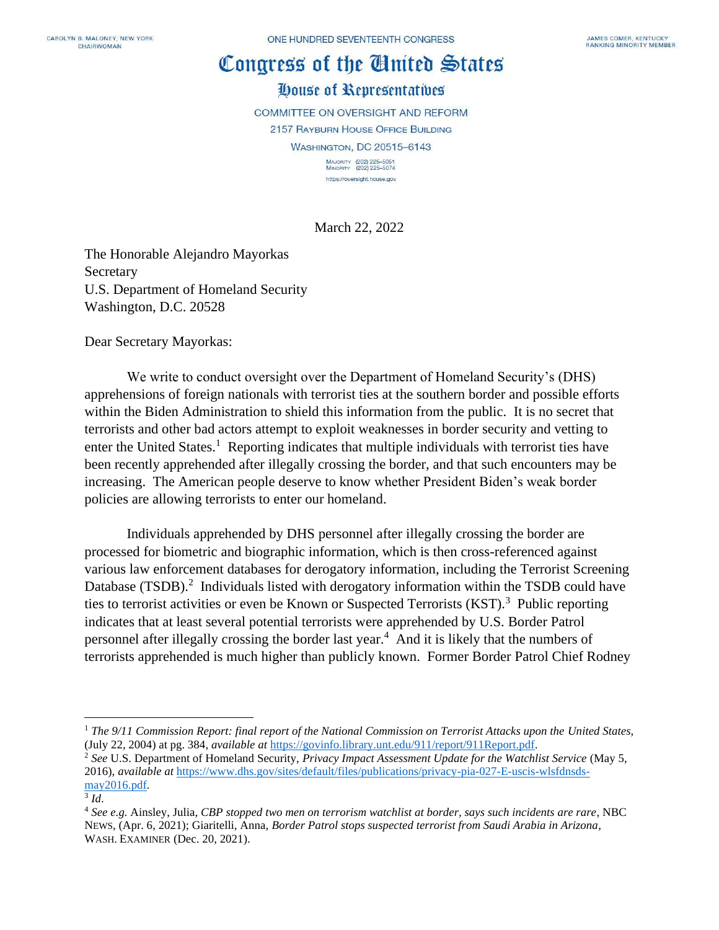## Congress of the Cinited States

## House of Representatives

**COMMITTEE ON OVERSIGHT AND REFORM** 

2157 RAYBURN HOUSE OFFICE BUILDING

**WASHINGTON, DC 20515-6143** 

MAJORITY (202) 225-5051<br>MINORITY (202) 225-5074 https://oversight.house.gov

March 22, 2022

The Honorable Alejandro Mayorkas Secretary U.S. Department of Homeland Security Washington, D.C. 20528

Dear Secretary Mayorkas:

We write to conduct oversight over the Department of Homeland Security's (DHS) apprehensions of foreign nationals with terrorist ties at the southern border and possible efforts within the Biden Administration to shield this information from the public. It is no secret that terrorists and other bad actors attempt to exploit weaknesses in border security and vetting to enter the United States.<sup>1</sup> Reporting indicates that multiple individuals with terrorist ties have been recently apprehended after illegally crossing the border, and that such encounters may be increasing. The American people deserve to know whether President Biden's weak border policies are allowing terrorists to enter our homeland.

Individuals apprehended by DHS personnel after illegally crossing the border are processed for biometric and biographic information, which is then cross-referenced against various law enforcement databases for derogatory information, including the Terrorist Screening Database  $(TSDB)$ <sup>2</sup> Individuals listed with derogatory information within the TSDB could have ties to terrorist activities or even be Known or Suspected Terrorists (KST).<sup>3</sup> Public reporting indicates that at least several potential terrorists were apprehended by U.S. Border Patrol personnel after illegally crossing the border last year.<sup>4</sup> And it is likely that the numbers of terrorists apprehended is much higher than publicly known. Former Border Patrol Chief Rodney

<sup>1</sup> *The 9/11 Commission Report: final report of the National Commission on Terrorist Attacks upon the United States*, (July 22, 2004) at pg. 384, *available at* <https://govinfo.library.unt.edu/911/report/911Report.pdf>*.* 

<sup>2</sup> *See* U.S. Department of Homeland Security, *Privacy Impact Assessment Update for the Watchlist Service* (May 5, 2016), *available at* [https://www.dhs.gov/sites/default/files/publications/privacy-pia-027-E-uscis-wlsfdnsds](https://www.dhs.gov/sites/default/files/publications/privacy-pia-027-E-uscis-wlsfdnsds-may2016.pdf)[may2016.pdf](https://www.dhs.gov/sites/default/files/publications/privacy-pia-027-E-uscis-wlsfdnsds-may2016.pdf)*.* 

<sup>3</sup> *Id*.

<sup>4</sup> *See e.g.* Ainsley, Julia, *CBP stopped two men on terrorism watchlist at border, says such incidents are rare*, NBC NEWS, (Apr. 6, 2021); Giaritelli, Anna, *Border Patrol stops suspected terrorist from Saudi Arabia in Arizona*, WASH. EXAMINER (Dec. 20, 2021).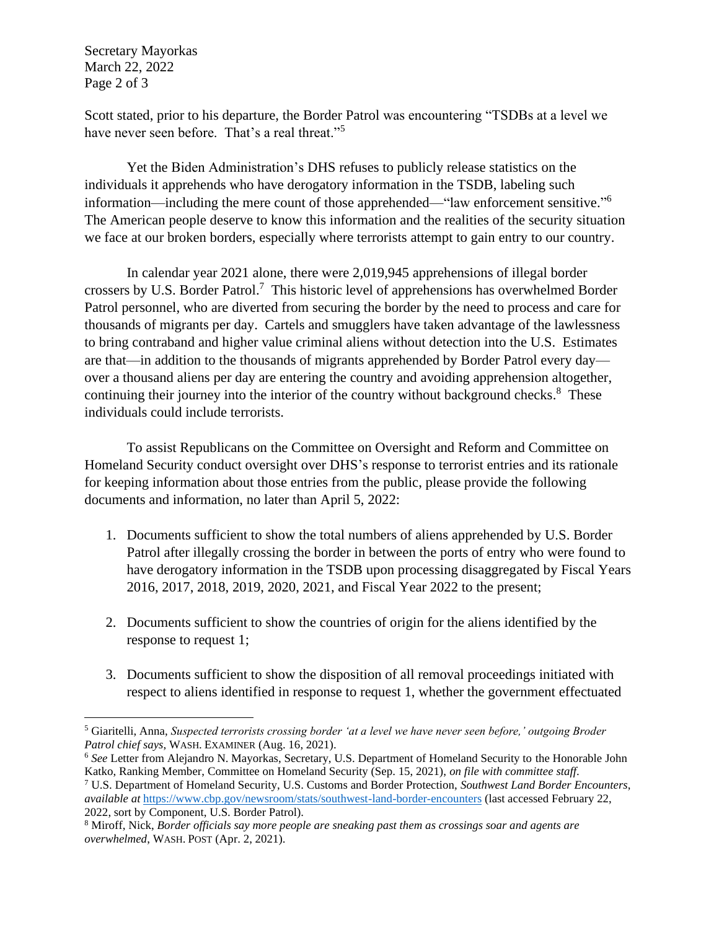Secretary Mayorkas March 22, 2022 Page 2 of 3

Scott stated, prior to his departure, the Border Patrol was encountering "TSDBs at a level we have never seen before. That's a real threat."<sup>5</sup>

Yet the Biden Administration's DHS refuses to publicly release statistics on the individuals it apprehends who have derogatory information in the TSDB, labeling such information—including the mere count of those apprehended—"law enforcement sensitive." 6 The American people deserve to know this information and the realities of the security situation we face at our broken borders, especially where terrorists attempt to gain entry to our country.

In calendar year 2021 alone, there were 2,019,945 apprehensions of illegal border crossers by U.S. Border Patrol.<sup>7</sup> This historic level of apprehensions has overwhelmed Border Patrol personnel, who are diverted from securing the border by the need to process and care for thousands of migrants per day. Cartels and smugglers have taken advantage of the lawlessness to bring contraband and higher value criminal aliens without detection into the U.S. Estimates are that—in addition to the thousands of migrants apprehended by Border Patrol every day over a thousand aliens per day are entering the country and avoiding apprehension altogether, continuing their journey into the interior of the country without background checks.<sup>8</sup> These individuals could include terrorists.

To assist Republicans on the Committee on Oversight and Reform and Committee on Homeland Security conduct oversight over DHS's response to terrorist entries and its rationale for keeping information about those entries from the public, please provide the following documents and information, no later than April 5, 2022:

- 1. Documents sufficient to show the total numbers of aliens apprehended by U.S. Border Patrol after illegally crossing the border in between the ports of entry who were found to have derogatory information in the TSDB upon processing disaggregated by Fiscal Years 2016, 2017, 2018, 2019, 2020, 2021, and Fiscal Year 2022 to the present;
- 2. Documents sufficient to show the countries of origin for the aliens identified by the response to request 1;
- 3. Documents sufficient to show the disposition of all removal proceedings initiated with respect to aliens identified in response to request 1, whether the government effectuated

<sup>5</sup> Giaritelli, Anna, *Suspected terrorists crossing border 'at a level we have never seen before,' outgoing Broder Patrol chief says*, WASH. EXAMINER (Aug. 16, 2021).

<sup>6</sup> *See* Letter from Alejandro N. Mayorkas, Secretary, U.S. Department of Homeland Security to the Honorable John Katko, Ranking Member, Committee on Homeland Security (Sep. 15, 2021), *on file with committee staff*.

<sup>7</sup> U.S. Department of Homeland Security, U.S. Customs and Border Protection, *Southwest Land Border Encounters*, *available at* <https://www.cbp.gov/newsroom/stats/southwest-land-border-encounters> (last accessed February 22, 2022, sort by Component, U.S. Border Patrol).

<sup>8</sup> Miroff, Nick, *Border officials say more people are sneaking past them as crossings soar and agents are overwhelmed*, WASH. POST (Apr. 2, 2021).